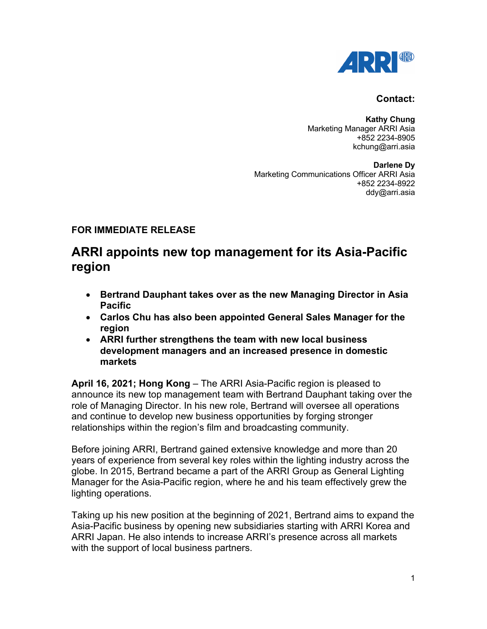

## **Contact:**

**Kathy Chung** Marketing Manager ARRI Asia +852 2234-8905 kchung@arri.asia

**Darlene Dy** Marketing Communications Officer ARRI Asia +852 2234-8922 ddy@arri.asia

## **FOR IMMEDIATE RELEASE**

## **ARRI appoints new top management for its Asia-Pacific region**

- **Bertrand Dauphant takes over as the new Managing Director in Asia Pacific**
- **Carlos Chu has also been appointed General Sales Manager for the region**
- **ARRI further strengthens the team with new local business development managers and an increased presence in domestic markets**

**April 16, 2021; Hong Kong** – The ARRI Asia-Pacific region is pleased to announce its new top management team with Bertrand Dauphant taking over the role of Managing Director. In his new role, Bertrand will oversee all operations and continue to develop new business opportunities by forging stronger relationships within the region's film and broadcasting community.

Before joining ARRI, Bertrand gained extensive knowledge and more than 20 years of experience from several key roles within the lighting industry across the globe. In 2015, Bertrand became a part of the ARRI Group as General Lighting Manager for the Asia-Pacific region, where he and his team effectively grew the lighting operations.

Taking up his new position at the beginning of 2021, Bertrand aims to expand the Asia-Pacific business by opening new subsidiaries starting with ARRI Korea and ARRI Japan. He also intends to increase ARRI's presence across all markets with the support of local business partners.